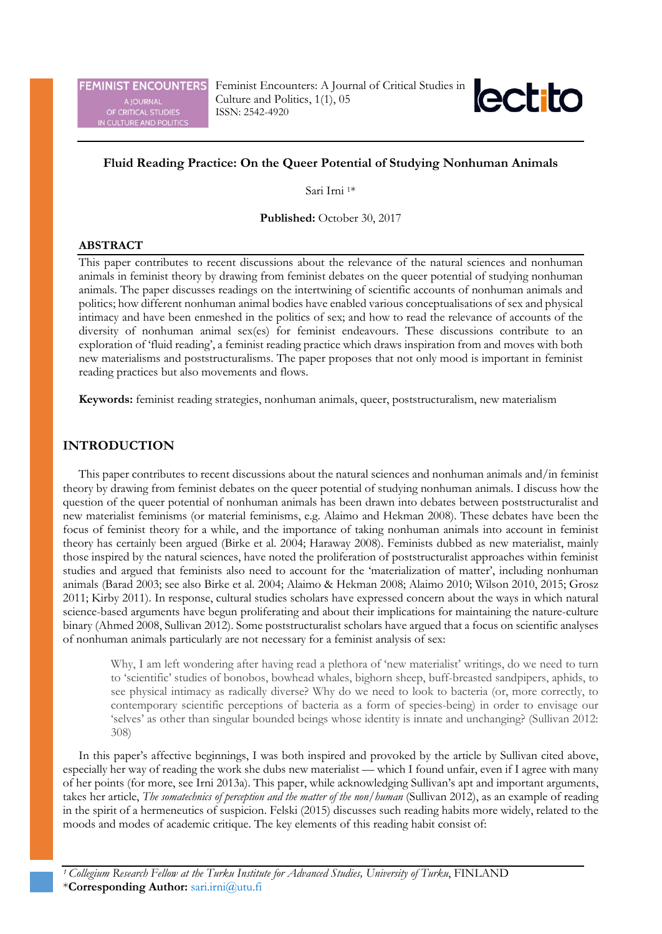**FEMINIST ENCOUNTERS** A JOURNAL<br>OF CRITICAL STUDIES<br>V CULTURE AND POLITIC!

Feminist Encounters: A Journal of Critical Studies in Culture and Politics, 1(1), 05 ISSN: 2542-4920



# **Fluid Reading Practice: On the Queer Potential of Studying Nonhuman Animals**

Sari Irni 1\*

**Published:** October 30, 2017

### **ABSTRACT**

This paper contributes to recent discussions about the relevance of the natural sciences and nonhuman animals in feminist theory by drawing from feminist debates on the queer potential of studying nonhuman animals. The paper discusses readings on the intertwining of scientific accounts of nonhuman animals and politics; how different nonhuman animal bodies have enabled various conceptualisations of sex and physical intimacy and have been enmeshed in the politics of sex; and how to read the relevance of accounts of the diversity of nonhuman animal sex(es) for feminist endeavours. These discussions contribute to an exploration of 'fluid reading', a feminist reading practice which draws inspiration from and moves with both new materialisms and poststructuralisms. The paper proposes that not only mood is important in feminist reading practices but also movements and flows.

**Keywords:** feminist reading strategies, nonhuman animals, queer, poststructuralism, new materialism

# **INTRODUCTION**

This paper contributes to recent discussions about the natural sciences and nonhuman animals and/in feminist theory by drawing from feminist debates on the queer potential of studying nonhuman animals. I discuss how the question of the queer potential of nonhuman animals has been drawn into debates between poststructuralist and new materialist feminisms (or material feminisms, e.g. Alaimo and Hekman 2008). These debates have been the focus of feminist theory for a while, and the importance of taking nonhuman animals into account in feminist theory has certainly been argued (Birke et al. 2004; Haraway 2008). Feminists dubbed as new materialist, mainly those inspired by the natural sciences, have noted the proliferation of poststructuralist approaches within feminist studies and argued that feminists also need to account for the 'materialization of matter', including nonhuman animals (Barad 2003; see also Birke et al. 2004; Alaimo & Hekman 2008; Alaimo 2010; Wilson 2010, 2015; Grosz 2011; Kirby 2011). In response, cultural studies scholars have expressed concern about the ways in which natural science-based arguments have begun proliferating and about their implications for maintaining the nature-culture binary (Ahmed 2008, Sullivan 2012). Some poststructuralist scholars have argued that a focus on scientific analyses of nonhuman animals particularly are not necessary for a feminist analysis of sex:

Why, I am left wondering after having read a plethora of 'new materialist' writings, do we need to turn to 'scientific' studies of bonobos, bowhead whales, bighorn sheep, buff-breasted sandpipers, aphids, to see physical intimacy as radically diverse? Why do we need to look to bacteria (or, more correctly, to contemporary scientific perceptions of bacteria as a form of species-being) in order to envisage our 'selves' as other than singular bounded beings whose identity is innate and unchanging? (Sullivan 2012: 308)

In this paper's affective beginnings, I was both inspired and provoked by the article by Sullivan cited above, especially her way of reading the work she dubs new materialist — which I found unfair, even if I agree with many of her points (for more, see Irni 2013a). This paper, while acknowledging Sullivan's apt and important arguments, takes her article, *The somatechnics of perception and the matter of the non/human* (Sullivan 2012), as an example of reading in the spirit of a hermeneutics of suspicion. Felski (2015) discusses such reading habits more widely, related to the moods and modes of academic critique. The key elements of this reading habit consist of: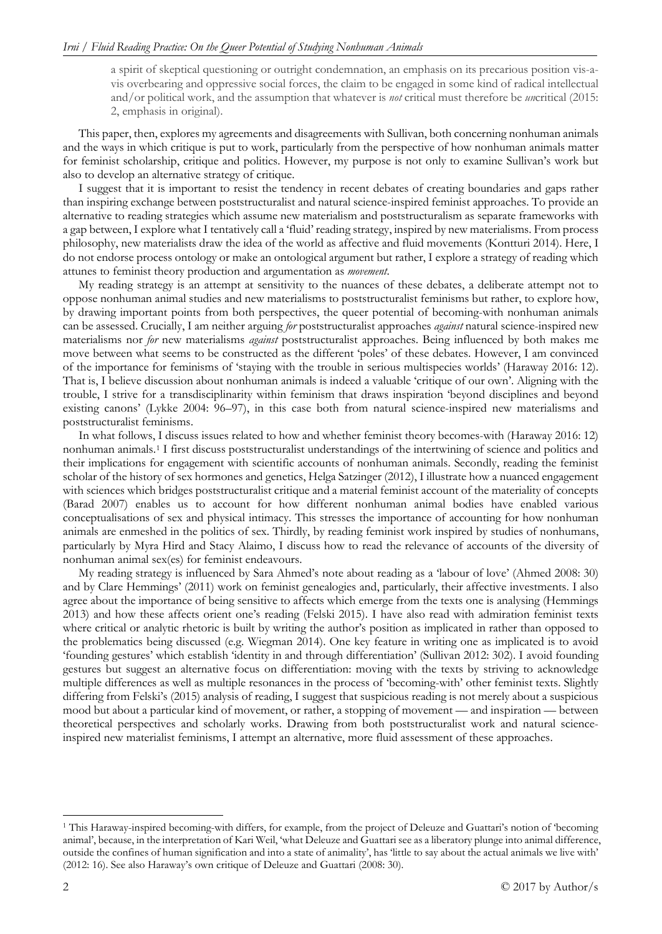a spirit of skeptical questioning or outright condemnation, an emphasis on its precarious position vis-avis overbearing and oppressive social forces, the claim to be engaged in some kind of radical intellectual and/or political work, and the assumption that whatever is *not* critical must therefore be *un*critical (2015: 2, emphasis in original).

This paper, then, explores my agreements and disagreements with Sullivan, both concerning nonhuman animals and the ways in which critique is put to work, particularly from the perspective of how nonhuman animals matter for feminist scholarship, critique and politics. However, my purpose is not only to examine Sullivan's work but also to develop an alternative strategy of critique.

I suggest that it is important to resist the tendency in recent debates of creating boundaries and gaps rather than inspiring exchange between poststructuralist and natural science-inspired feminist approaches. To provide an alternative to reading strategies which assume new materialism and poststructuralism as separate frameworks with a gap between, I explore what I tentatively call a 'fluid' reading strategy, inspired by new materialisms. From process philosophy, new materialists draw the idea of the world as affective and fluid movements (Kontturi 2014). Here, I do not endorse process ontology or make an ontological argument but rather, I explore a strategy of reading which attunes to feminist theory production and argumentation as *movement*.

My reading strategy is an attempt at sensitivity to the nuances of these debates, a deliberate attempt not to oppose nonhuman animal studies and new materialisms to poststructuralist feminisms but rather, to explore how, by drawing important points from both perspectives, the queer potential of becoming-with nonhuman animals can be assessed. Crucially, I am neither arguing *for* poststructuralist approaches *against* natural science-inspired new materialisms nor *for* new materialisms *against* poststructuralist approaches. Being influenced by both makes me move between what seems to be constructed as the different 'poles' of these debates. However, I am convinced of the importance for feminisms of 'staying with the trouble in serious multispecies worlds' (Haraway 2016: 12). That is, I believe discussion about nonhuman animals is indeed a valuable 'critique of our own'. Aligning with the trouble, I strive for a transdisciplinarity within feminism that draws inspiration 'beyond disciplines and beyond existing canons' (Lykke 2004: 96–97), in this case both from natural science-inspired new materialisms and poststructuralist feminisms.

In what follows, I discuss issues related to how and whether feminist theory becomes-with (Haraway 2016: 12) nonhuman animals.[1](#page-1-0) I first discuss poststructuralist understandings of the intertwining of science and politics and their implications for engagement with scientific accounts of nonhuman animals. Secondly, reading the feminist scholar of the history of sex hormones and genetics, Helga Satzinger (2012), I illustrate how a nuanced engagement with sciences which bridges poststructuralist critique and a material feminist account of the materiality of concepts (Barad 2007) enables us to account for how different nonhuman animal bodies have enabled various conceptualisations of sex and physical intimacy. This stresses the importance of accounting for how nonhuman animals are enmeshed in the politics of sex. Thirdly, by reading feminist work inspired by studies of nonhumans, particularly by Myra Hird and Stacy Alaimo, I discuss how to read the relevance of accounts of the diversity of nonhuman animal sex(es) for feminist endeavours.

My reading strategy is influenced by Sara Ahmed's note about reading as a 'labour of love' (Ahmed 2008: 30) and by Clare Hemmings' (2011) work on feminist genealogies and, particularly, their affective investments. I also agree about the importance of being sensitive to affects which emerge from the texts one is analysing (Hemmings 2013) and how these affects orient one's reading (Felski 2015). I have also read with admiration feminist texts where critical or analytic rhetoric is built by writing the author's position as implicated in rather than opposed to the problematics being discussed (e.g. Wiegman 2014). One key feature in writing one as implicated is to avoid 'founding gestures' which establish 'identity in and through differentiation' (Sullivan 2012: 302). I avoid founding gestures but suggest an alternative focus on differentiation: moving with the texts by striving to acknowledge multiple differences as well as multiple resonances in the process of 'becoming-with' other feminist texts. Slightly differing from Felski's (2015) analysis of reading, I suggest that suspicious reading is not merely about a suspicious mood but about a particular kind of movement, or rather, a stopping of movement — and inspiration — between theoretical perspectives and scholarly works. Drawing from both poststructuralist work and natural scienceinspired new materialist feminisms, I attempt an alternative, more fluid assessment of these approaches.

<span id="page-1-0"></span> <sup>1</sup> This Haraway-inspired becoming-with differs, for example, from the project of Deleuze and Guattari's notion of 'becoming animal', because, in the interpretation of Kari Weil, 'what Deleuze and Guattari see as a liberatory plunge into animal difference, outside the confines of human signification and into a state of animality', has 'little to say about the actual animals we live with' (2012: 16). See also Haraway's own critique of Deleuze and Guattari (2008: 30).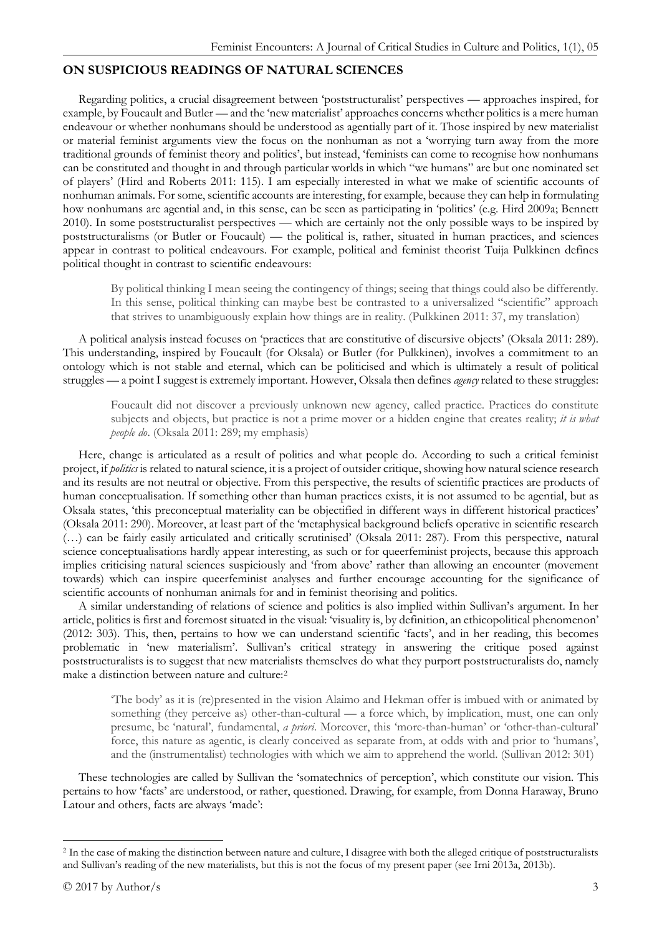## **ON SUSPICIOUS READINGS OF NATURAL SCIENCES**

Regarding politics, a crucial disagreement between 'poststructuralist' perspectives — approaches inspired, for example, by Foucault and Butler — and the 'new materialist' approaches concerns whether politics is a mere human endeavour or whether nonhumans should be understood as agentially part of it. Those inspired by new materialist or material feminist arguments view the focus on the nonhuman as not a 'worrying turn away from the more traditional grounds of feminist theory and politics', but instead, 'feminists can come to recognise how nonhumans can be constituted and thought in and through particular worlds in which "we humans" are but one nominated set of players' (Hird and Roberts 2011: 115). I am especially interested in what we make of scientific accounts of nonhuman animals. For some, scientific accounts are interesting, for example, because they can help in formulating how nonhumans are agential and, in this sense, can be seen as participating in 'politics' (e.g. Hird 2009a; Bennett 2010). In some poststructuralist perspectives — which are certainly not the only possible ways to be inspired by poststructuralisms (or Butler or Foucault) — the political is, rather, situated in human practices, and sciences appear in contrast to political endeavours. For example, political and feminist theorist Tuija Pulkkinen defines political thought in contrast to scientific endeavours:

By political thinking I mean seeing the contingency of things; seeing that things could also be differently. In this sense, political thinking can maybe best be contrasted to a universalized "scientific" approach that strives to unambiguously explain how things are in reality. (Pulkkinen 2011: 37, my translation)

A political analysis instead focuses on 'practices that are constitutive of discursive objects' (Oksala 2011: 289). This understanding, inspired by Foucault (for Oksala) or Butler (for Pulkkinen), involves a commitment to an ontology which is not stable and eternal, which can be politicised and which is ultimately a result of political struggles — a point I suggest is extremely important. However, Oksala then defines *agency* related to these struggles:

Foucault did not discover a previously unknown new agency, called practice. Practices do constitute subjects and objects, but practice is not a prime mover or a hidden engine that creates reality; *it is what people do*. (Oksala 2011: 289; my emphasis)

Here, change is articulated as a result of politics and what people do. According to such a critical feminist project, if *politics* is related to natural science, it is a project of outsider critique, showing how natural science research and its results are not neutral or objective. From this perspective, the results of scientific practices are products of human conceptualisation. If something other than human practices exists, it is not assumed to be agential, but as Oksala states, 'this preconceptual materiality can be objectified in different ways in different historical practices' (Oksala 2011: 290). Moreover, at least part of the 'metaphysical background beliefs operative in scientific research (…) can be fairly easily articulated and critically scrutinised' (Oksala 2011: 287). From this perspective, natural science conceptualisations hardly appear interesting, as such or for queerfeminist projects, because this approach implies criticising natural sciences suspiciously and 'from above' rather than allowing an encounter (movement towards) which can inspire queerfeminist analyses and further encourage accounting for the significance of scientific accounts of nonhuman animals for and in feminist theorising and politics.

A similar understanding of relations of science and politics is also implied within Sullivan's argument. In her article, politics is first and foremost situated in the visual: 'visuality is, by definition, an ethicopolitical phenomenon' (2012: 303). This, then, pertains to how we can understand scientific 'facts', and in her reading, this becomes problematic in 'new materialism'. Sullivan's critical strategy in answering the critique posed against poststructuralists is to suggest that new materialists themselves do what they purport poststructuralists do, namely make a distinction between nature and culture[:2](#page-2-0)

'The body' as it is (re)presented in the vision Alaimo and Hekman offer is imbued with or animated by something (they perceive as) other-than-cultural — a force which, by implication, must, one can only presume, be 'natural', fundamental, *a priori*. Moreover, this 'more-than-human' or 'other-than-cultural' force, this nature as agentic, is clearly conceived as separate from, at odds with and prior to 'humans', and the (instrumentalist) technologies with which we aim to apprehend the world. (Sullivan 2012: 301)

These technologies are called by Sullivan the 'somatechnics of perception', which constitute our vision. This pertains to how 'facts' are understood, or rather, questioned. Drawing, for example, from Donna Haraway, Bruno Latour and others, facts are always 'made':

<span id="page-2-0"></span><sup>&</sup>lt;sup>2</sup> In the case of making the distinction between nature and culture, I disagree with both the alleged critique of poststructuralists and Sullivan's reading of the new materialists, but this is not the focus of my present paper (see Irni 2013a, 2013b).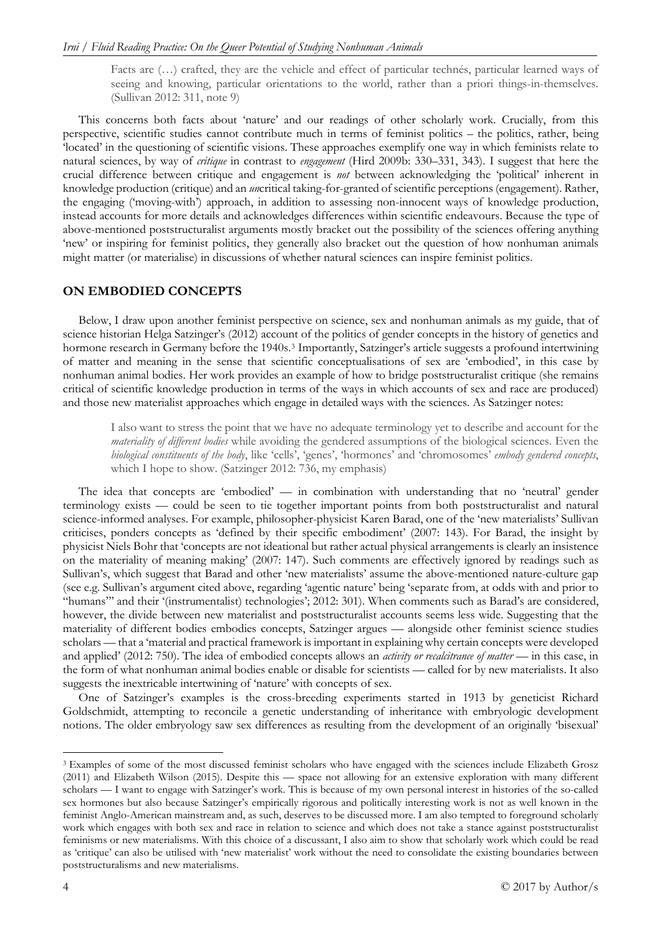Facts are (…) crafted, they are the vehicle and effect of particular technés, particular learned ways of seeing and knowing, particular orientations to the world, rather than a priori things-in-themselves. (Sullivan 2012: 311, note 9)

This concerns both facts about 'nature' and our readings of other scholarly work. Crucially, from this perspective, scientific studies cannot contribute much in terms of feminist politics – the politics, rather, being 'located' in the questioning of scientific visions. These approaches exemplify one way in which feminists relate to natural sciences, by way of *critique* in contrast to *engagement* (Hird 2009b: 330–331, 343). I suggest that here the crucial difference between critique and engagement is *not* between acknowledging the 'political' inherent in knowledge production (critique) and an *un*critical taking-for-granted of scientific perceptions (engagement). Rather, the engaging ('moving-with') approach, in addition to assessing non-innocent ways of knowledge production, instead accounts for more details and acknowledges differences within scientific endeavours. Because the type of above-mentioned poststructuralist arguments mostly bracket out the possibility of the sciences offering anything 'new' or inspiring for feminist politics, they generally also bracket out the question of how nonhuman animals might matter (or materialise) in discussions of whether natural sciences can inspire feminist politics.

### **ON EMBODIED CONCEPTS**

Below, I draw upon another feminist perspective on science, sex and nonhuman animals as my guide, that of science historian Helga Satzinger's (2012) account of the politics of gender concepts in the history of genetics and hormone research in Germany before the 1940s.<sup>[3](#page-3-0)</sup> Importantly, Satzinger's article suggests a profound intertwining of matter and meaning in the sense that scientific conceptualisations of sex are 'embodied', in this case by nonhuman animal bodies. Her work provides an example of how to bridge poststructuralist critique (she remains critical of scientific knowledge production in terms of the ways in which accounts of sex and race are produced) and those new materialist approaches which engage in detailed ways with the sciences. As Satzinger notes:

I also want to stress the point that we have no adequate terminology yet to describe and account for the *materiality of different bodies* while avoiding the gendered assumptions of the biological sciences. Even the *biological constituents of the body*, like 'cells', 'genes', 'hormones' and 'chromosomes' *embody gendered concepts*, which I hope to show. (Satzinger 2012: 736, my emphasis)

The idea that concepts are 'embodied' — in combination with understanding that no 'neutral' gender terminology exists — could be seen to tie together important points from both poststructuralist and natural science-informed analyses. For example, philosopher-physicist Karen Barad, one of the 'new materialists' Sullivan criticises, ponders concepts as 'defined by their specific embodiment' (2007: 143). For Barad, the insight by physicist Niels Bohr that 'concepts are not ideational but rather actual physical arrangements is clearly an insistence on the materiality of meaning making' (2007: 147). Such comments are effectively ignored by readings such as Sullivan's, which suggest that Barad and other 'new materialists' assume the above-mentioned nature-culture gap (see e.g. Sullivan's argument cited above, regarding 'agentic nature' being 'separate from, at odds with and prior to "humans"' and their '(instrumentalist) technologies'; 2012: 301). When comments such as Barad's are considered, however, the divide between new materialist and poststructuralist accounts seems less wide. Suggesting that the materiality of different bodies embodies concepts, Satzinger argues — alongside other feminist science studies scholars — that a 'material and practical framework is important in explaining why certain concepts were developed and applied' (2012: 750). The idea of embodied concepts allows an *activity or recalcitrance of matter* — in this case, in the form of what nonhuman animal bodies enable or disable for scientists — called for by new materialists. It also suggests the inextricable intertwining of 'nature' with concepts of sex.

One of Satzinger's examples is the cross-breeding experiments started in 1913 by geneticist Richard Goldschmidt, attempting to reconcile a genetic understanding of inheritance with embryologic development notions. The older embryology saw sex differences as resulting from the development of an originally 'bisexual'

<span id="page-3-0"></span> <sup>3</sup> Examples of some of the most discussed feminist scholars who have engaged with the sciences include Elizabeth Grosz (2011) and Elizabeth Wilson (2015). Despite this — space not allowing for an extensive exploration with many different scholars — I want to engage with Satzinger's work. This is because of my own personal interest in histories of the so-called sex hormones but also because Satzinger's empirically rigorous and politically interesting work is not as well known in the feminist Anglo-American mainstream and, as such, deserves to be discussed more. I am also tempted to foreground scholarly work which engages with both sex and race in relation to science and which does not take a stance against poststructuralist feminisms or new materialisms. With this choice of a discussant, I also aim to show that scholarly work which could be read as 'critique' can also be utilised with 'new materialist' work without the need to consolidate the existing boundaries between poststructuralisms and new materialisms.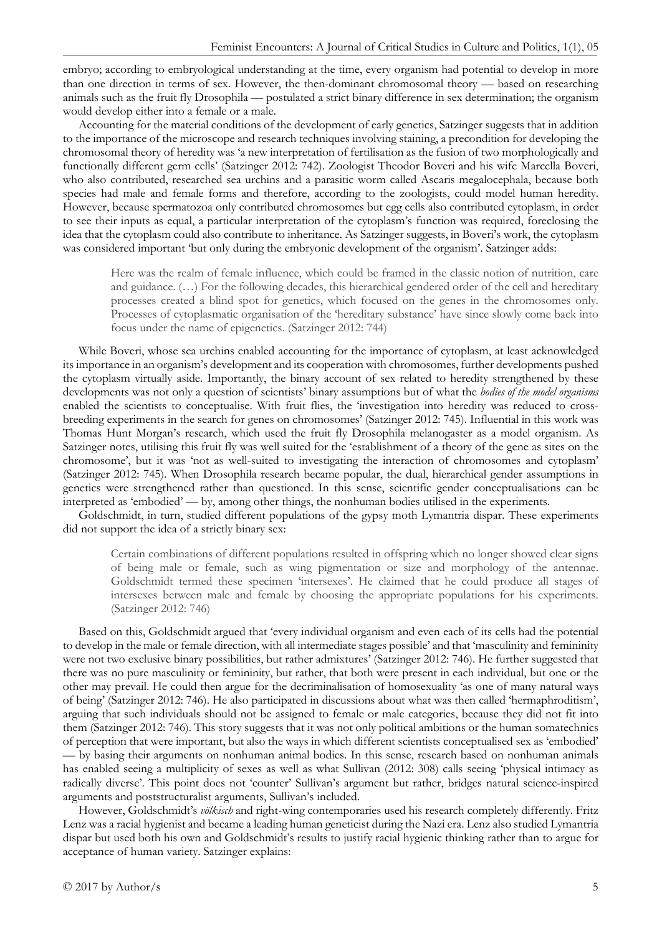embryo; according to embryological understanding at the time, every organism had potential to develop in more than one direction in terms of sex. However, the then-dominant chromosomal theory — based on researching animals such as the fruit fly Drosophila — postulated a strict binary difference in sex determination; the organism would develop either into a female or a male.

Accounting for the material conditions of the development of early genetics, Satzinger suggests that in addition to the importance of the microscope and research techniques involving staining, a precondition for developing the chromosomal theory of heredity was 'a new interpretation of fertilisation as the fusion of two morphologically and functionally different germ cells' (Satzinger 2012: 742). Zoologist Theodor Boveri and his wife Marcella Boveri, who also contributed, researched sea urchins and a parasitic worm called Ascaris megalocephala, because both species had male and female forms and therefore, according to the zoologists, could model human heredity. However, because spermatozoa only contributed chromosomes but egg cells also contributed cytoplasm, in order to see their inputs as equal, a particular interpretation of the cytoplasm's function was required, foreclosing the idea that the cytoplasm could also contribute to inheritance. As Satzinger suggests, in Boveri's work, the cytoplasm was considered important 'but only during the embryonic development of the organism'. Satzinger adds:

Here was the realm of female influence, which could be framed in the classic notion of nutrition, care and guidance. (…) For the following decades, this hierarchical gendered order of the cell and hereditary processes created a blind spot for genetics, which focused on the genes in the chromosomes only. Processes of cytoplasmatic organisation of the 'hereditary substance' have since slowly come back into focus under the name of epigenetics. (Satzinger 2012: 744)

While Boveri, whose sea urchins enabled accounting for the importance of cytoplasm, at least acknowledged its importance in an organism's development and its cooperation with chromosomes, further developments pushed the cytoplasm virtually aside. Importantly, the binary account of sex related to heredity strengthened by these developments was not only a question of scientists' binary assumptions but of what the *bodies of the model organisms* enabled the scientists to conceptualise. With fruit flies, the 'investigation into heredity was reduced to crossbreeding experiments in the search for genes on chromosomes' (Satzinger 2012: 745). Influential in this work was Thomas Hunt Morgan's research, which used the fruit fly Drosophila melanogaster as a model organism. As Satzinger notes, utilising this fruit fly was well suited for the 'establishment of a theory of the gene as sites on the chromosome', but it was 'not as well-suited to investigating the interaction of chromosomes and cytoplasm' (Satzinger 2012: 745). When Drosophila research became popular, the dual, hierarchical gender assumptions in genetics were strengthened rather than questioned. In this sense, scientific gender conceptualisations can be interpreted as 'embodied' — by, among other things, the nonhuman bodies utilised in the experiments.

Goldschmidt, in turn, studied different populations of the gypsy moth Lymantria dispar. These experiments did not support the idea of a strictly binary sex:

Certain combinations of different populations resulted in offspring which no longer showed clear signs of being male or female, such as wing pigmentation or size and morphology of the antennae. Goldschmidt termed these specimen 'intersexes'. He claimed that he could produce all stages of intersexes between male and female by choosing the appropriate populations for his experiments. (Satzinger 2012: 746)

Based on this, Goldschmidt argued that 'every individual organism and even each of its cells had the potential to develop in the male or female direction, with all intermediate stages possible' and that 'masculinity and femininity were not two exclusive binary possibilities, but rather admixtures' (Satzinger 2012: 746). He further suggested that there was no pure masculinity or femininity, but rather, that both were present in each individual, but one or the other may prevail. He could then argue for the decriminalisation of homosexuality 'as one of many natural ways of being' (Satzinger 2012: 746). He also participated in discussions about what was then called 'hermaphroditism', arguing that such individuals should not be assigned to female or male categories, because they did not fit into them (Satzinger 2012: 746). This story suggests that it was not only political ambitions or the human somatechnics of perception that were important, but also the ways in which different scientists conceptualised sex as 'embodied' — by basing their arguments on nonhuman animal bodies. In this sense, research based on nonhuman animals has enabled seeing a multiplicity of sexes as well as what Sullivan (2012: 308) calls seeing 'physical intimacy as radically diverse'. This point does not 'counter' Sullivan's argument but rather, bridges natural science-inspired arguments and poststructuralist arguments, Sullivan's included.

However, Goldschmidt's *völkisch* and right-wing contemporaries used his research completely differently. Fritz Lenz was a racial hygienist and became a leading human geneticist during the Nazi era. Lenz also studied Lymantria dispar but used both his own and Goldschmidt's results to justify racial hygienic thinking rather than to argue for acceptance of human variety. Satzinger explains: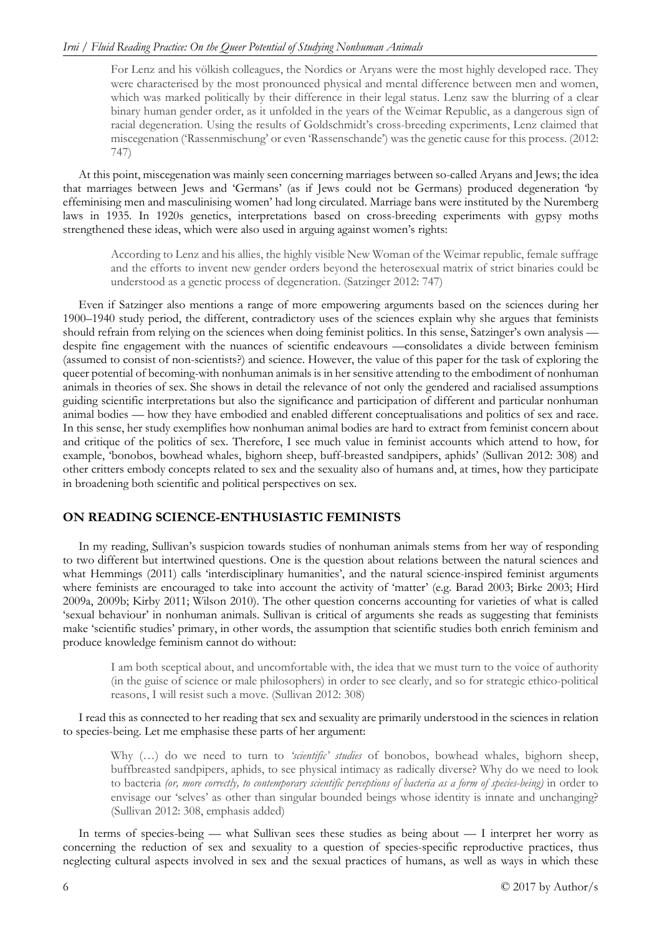For Lenz and his völkish colleagues, the Nordics or Aryans were the most highly developed race. They were characterised by the most pronounced physical and mental difference between men and women, which was marked politically by their difference in their legal status. Lenz saw the blurring of a clear binary human gender order, as it unfolded in the years of the Weimar Republic, as a dangerous sign of racial degeneration. Using the results of Goldschmidt's cross-breeding experiments, Lenz claimed that miscegenation ('Rassenmischung' or even 'Rassenschande') was the genetic cause for this process. (2012: 747)

At this point, miscegenation was mainly seen concerning marriages between so-called Aryans and Jews; the idea that marriages between Jews and 'Germans' (as if Jews could not be Germans) produced degeneration 'by effeminising men and masculinising women' had long circulated. Marriage bans were instituted by the Nuremberg laws in 1935. In 1920s genetics, interpretations based on cross-breeding experiments with gypsy moths strengthened these ideas, which were also used in arguing against women's rights:

According to Lenz and his allies, the highly visible New Woman of the Weimar republic, female suffrage and the efforts to invent new gender orders beyond the heterosexual matrix of strict binaries could be understood as a genetic process of degeneration. (Satzinger 2012: 747)

Even if Satzinger also mentions a range of more empowering arguments based on the sciences during her 1900–1940 study period, the different, contradictory uses of the sciences explain why she argues that feminists should refrain from relying on the sciences when doing feminist politics. In this sense, Satzinger's own analysis despite fine engagement with the nuances of scientific endeavours —consolidates a divide between feminism (assumed to consist of non-scientists?) and science. However, the value of this paper for the task of exploring the queer potential of becoming-with nonhuman animals is in her sensitive attending to the embodiment of nonhuman animals in theories of sex. She shows in detail the relevance of not only the gendered and racialised assumptions guiding scientific interpretations but also the significance and participation of different and particular nonhuman animal bodies — how they have embodied and enabled different conceptualisations and politics of sex and race. In this sense, her study exemplifies how nonhuman animal bodies are hard to extract from feminist concern about and critique of the politics of sex. Therefore, I see much value in feminist accounts which attend to how, for example, 'bonobos, bowhead whales, bighorn sheep, buff-breasted sandpipers, aphids' (Sullivan 2012: 308) and other critters embody concepts related to sex and the sexuality also of humans and, at times, how they participate in broadening both scientific and political perspectives on sex.

## **ON READING SCIENCE-ENTHUSIASTIC FEMINISTS**

In my reading, Sullivan's suspicion towards studies of nonhuman animals stems from her way of responding to two different but intertwined questions. One is the question about relations between the natural sciences and what Hemmings (2011) calls 'interdisciplinary humanities', and the natural science-inspired feminist arguments where feminists are encouraged to take into account the activity of 'matter' (e.g. Barad 2003; Birke 2003; Hird 2009a, 2009b; Kirby 2011; Wilson 2010). The other question concerns accounting for varieties of what is called 'sexual behaviour' in nonhuman animals. Sullivan is critical of arguments she reads as suggesting that feminists make 'scientific studies' primary, in other words, the assumption that scientific studies both enrich feminism and produce knowledge feminism cannot do without:

I am both sceptical about, and uncomfortable with, the idea that we must turn to the voice of authority (in the guise of science or male philosophers) in order to see clearly, and so for strategic ethico-political reasons, I will resist such a move. (Sullivan 2012: 308)

I read this as connected to her reading that sex and sexuality are primarily understood in the sciences in relation to species-being. Let me emphasise these parts of her argument:

Why (…) do we need to turn to *'scientific' studies* of bonobos, bowhead whales, bighorn sheep, buffbreasted sandpipers, aphids, to see physical intimacy as radically diverse? Why do we need to look to bacteria *(or, more correctly, to contemporary scientific perceptions of bacteria as a form of species-being)* in order to envisage our 'selves' as other than singular bounded beings whose identity is innate and unchanging? (Sullivan 2012: 308, emphasis added)

In terms of species-being — what Sullivan sees these studies as being about — I interpret her worry as concerning the reduction of sex and sexuality to a question of species-specific reproductive practices, thus neglecting cultural aspects involved in sex and the sexual practices of humans, as well as ways in which these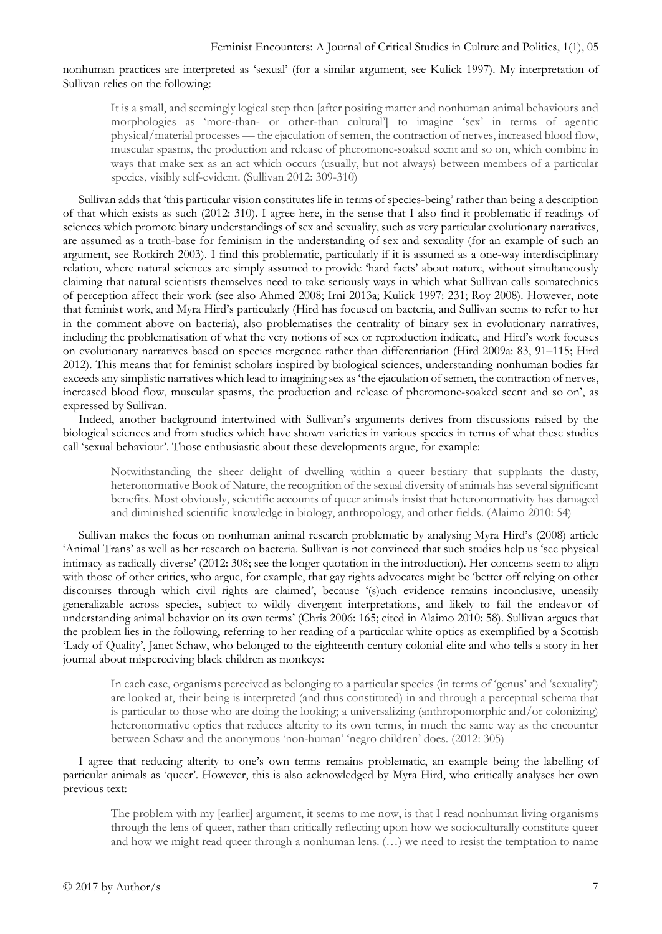#### nonhuman practices are interpreted as 'sexual' (for a similar argument, see Kulick 1997). My interpretation of Sullivan relies on the following:

It is a small, and seemingly logical step then [after positing matter and nonhuman animal behaviours and morphologies as 'more-than- or other-than cultural'] to imagine 'sex' in terms of agentic physical/material processes — the ejaculation of semen, the contraction of nerves, increased blood flow, muscular spasms, the production and release of pheromone-soaked scent and so on, which combine in ways that make sex as an act which occurs (usually, but not always) between members of a particular species, visibly self-evident. (Sullivan 2012: 309-310)

Sullivan adds that 'this particular vision constitutes life in terms of species-being' rather than being a description of that which exists as such (2012: 310). I agree here, in the sense that I also find it problematic if readings of sciences which promote binary understandings of sex and sexuality, such as very particular evolutionary narratives, are assumed as a truth-base for feminism in the understanding of sex and sexuality (for an example of such an argument, see Rotkirch 2003). I find this problematic, particularly if it is assumed as a one-way interdisciplinary relation, where natural sciences are simply assumed to provide 'hard facts' about nature, without simultaneously claiming that natural scientists themselves need to take seriously ways in which what Sullivan calls somatechnics of perception affect their work (see also Ahmed 2008; Irni 2013a; Kulick 1997: 231; Roy 2008). However, note that feminist work, and Myra Hird's particularly (Hird has focused on bacteria, and Sullivan seems to refer to her in the comment above on bacteria), also problematises the centrality of binary sex in evolutionary narratives, including the problematisation of what the very notions of sex or reproduction indicate, and Hird's work focuses on evolutionary narratives based on species mergence rather than differentiation (Hird 2009a: 83, 91–115; Hird 2012). This means that for feminist scholars inspired by biological sciences, understanding nonhuman bodies far exceeds any simplistic narratives which lead to imagining sex as 'the ejaculation of semen, the contraction of nerves, increased blood flow, muscular spasms, the production and release of pheromone-soaked scent and so on', as expressed by Sullivan.

Indeed, another background intertwined with Sullivan's arguments derives from discussions raised by the biological sciences and from studies which have shown varieties in various species in terms of what these studies call 'sexual behaviour'. Those enthusiastic about these developments argue, for example:

Notwithstanding the sheer delight of dwelling within a queer bestiary that supplants the dusty, heteronormative Book of Nature, the recognition of the sexual diversity of animals has several significant benefits. Most obviously, scientific accounts of queer animals insist that heteronormativity has damaged and diminished scientific knowledge in biology, anthropology, and other fields. (Alaimo 2010: 54)

Sullivan makes the focus on nonhuman animal research problematic by analysing Myra Hird's (2008) article 'Animal Trans' as well as her research on bacteria. Sullivan is not convinced that such studies help us 'see physical intimacy as radically diverse' (2012: 308; see the longer quotation in the introduction). Her concerns seem to align with those of other critics, who argue, for example, that gay rights advocates might be 'better off relying on other discourses through which civil rights are claimed', because '(s)uch evidence remains inconclusive, uneasily generalizable across species, subject to wildly divergent interpretations, and likely to fail the endeavor of understanding animal behavior on its own terms' (Chris 2006: 165; cited in Alaimo 2010: 58). Sullivan argues that the problem lies in the following, referring to her reading of a particular white optics as exemplified by a Scottish 'Lady of Quality', Janet Schaw, who belonged to the eighteenth century colonial elite and who tells a story in her journal about misperceiving black children as monkeys:

In each case, organisms perceived as belonging to a particular species (in terms of 'genus' and 'sexuality') are looked at, their being is interpreted (and thus constituted) in and through a perceptual schema that is particular to those who are doing the looking; a universalizing (anthropomorphic and/or colonizing) heteronormative optics that reduces alterity to its own terms, in much the same way as the encounter between Schaw and the anonymous 'non-human' 'negro children' does. (2012: 305)

I agree that reducing alterity to one's own terms remains problematic, an example being the labelling of particular animals as 'queer'. However, this is also acknowledged by Myra Hird, who critically analyses her own previous text:

The problem with my [earlier] argument, it seems to me now, is that I read nonhuman living organisms through the lens of queer, rather than critically reflecting upon how we socioculturally constitute queer and how we might read queer through a nonhuman lens. (…) we need to resist the temptation to name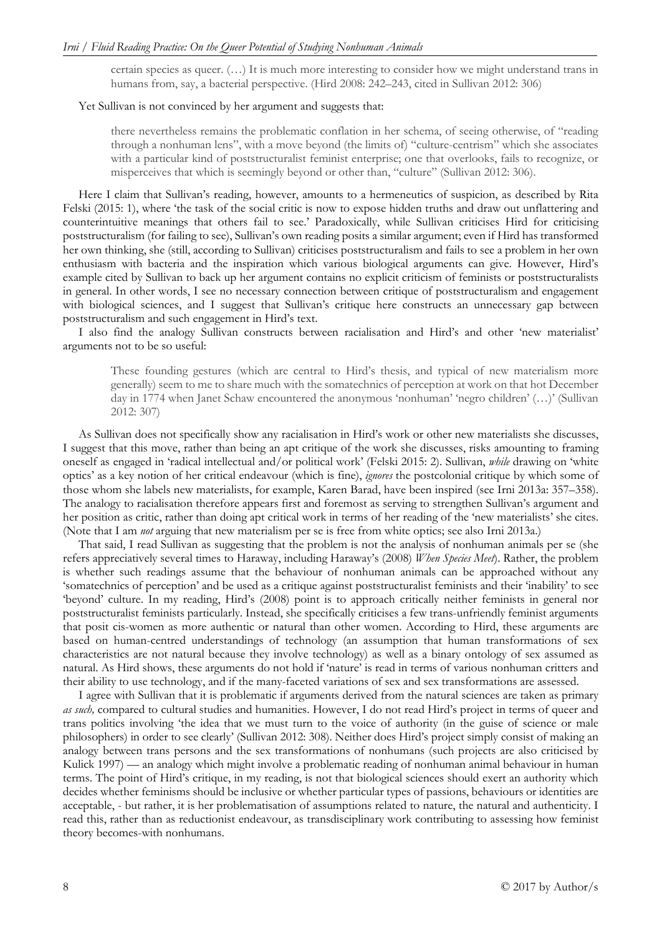certain species as queer. (…) It is much more interesting to consider how we might understand trans in humans from, say, a bacterial perspective. (Hird 2008: 242–243, cited in Sullivan 2012: 306)

#### Yet Sullivan is not convinced by her argument and suggests that:

there nevertheless remains the problematic conflation in her schema, of seeing otherwise, of "reading through a nonhuman lens", with a move beyond (the limits of) "culture-centrism" which she associates with a particular kind of poststructuralist feminist enterprise; one that overlooks, fails to recognize, or misperceives that which is seemingly beyond or other than, "culture" (Sullivan 2012: 306).

Here I claim that Sullivan's reading, however, amounts to a hermeneutics of suspicion, as described by Rita Felski (2015: 1), where 'the task of the social critic is now to expose hidden truths and draw out unflattering and counterintuitive meanings that others fail to see.' Paradoxically, while Sullivan criticises Hird for criticising poststructuralism (for failing to see), Sullivan's own reading posits a similar argument; even if Hird has transformed her own thinking, she (still, according to Sullivan) criticises poststructuralism and fails to see a problem in her own enthusiasm with bacteria and the inspiration which various biological arguments can give. However, Hird's example cited by Sullivan to back up her argument contains no explicit criticism of feminists or poststructuralists in general. In other words, I see no necessary connection between critique of poststructuralism and engagement with biological sciences, and I suggest that Sullivan's critique here constructs an unnecessary gap between poststructuralism and such engagement in Hird's text.

I also find the analogy Sullivan constructs between racialisation and Hird's and other 'new materialist' arguments not to be so useful:

These founding gestures (which are central to Hird's thesis, and typical of new materialism more generally) seem to me to share much with the somatechnics of perception at work on that hot December day in 1774 when Janet Schaw encountered the anonymous 'nonhuman' 'negro children' (…)' (Sullivan 2012: 307)

As Sullivan does not specifically show any racialisation in Hird's work or other new materialists she discusses, I suggest that this move, rather than being an apt critique of the work she discusses, risks amounting to framing oneself as engaged in 'radical intellectual and/or political work' (Felski 2015: 2). Sullivan, *while* drawing on 'white optics' as a key notion of her critical endeavour (which is fine), *ignores* the postcolonial critique by which some of those whom she labels new materialists, for example, Karen Barad, have been inspired (see Irni 2013a: 357–358). The analogy to racialisation therefore appears first and foremost as serving to strengthen Sullivan's argument and her position as critic, rather than doing apt critical work in terms of her reading of the 'new materialists' she cites. (Note that I am *not* arguing that new materialism per se is free from white optics; see also Irni 2013a.)

That said, I read Sullivan as suggesting that the problem is not the analysis of nonhuman animals per se (she refers appreciatively several times to Haraway, including Haraway's (2008) *When Species Meet*). Rather, the problem is whether such readings assume that the behaviour of nonhuman animals can be approached without any 'somatechnics of perception' and be used as a critique against poststructuralist feminists and their 'inability' to see 'beyond' culture. In my reading, Hird's (2008) point is to approach critically neither feminists in general nor poststructuralist feminists particularly. Instead, she specifically criticises a few trans-unfriendly feminist arguments that posit cis-women as more authentic or natural than other women. According to Hird, these arguments are based on human-centred understandings of technology (an assumption that human transformations of sex characteristics are not natural because they involve technology) as well as a binary ontology of sex assumed as natural. As Hird shows, these arguments do not hold if 'nature' is read in terms of various nonhuman critters and their ability to use technology, and if the many-faceted variations of sex and sex transformations are assessed.

I agree with Sullivan that it is problematic if arguments derived from the natural sciences are taken as primary *as such,* compared to cultural studies and humanities. However, I do not read Hird's project in terms of queer and trans politics involving 'the idea that we must turn to the voice of authority (in the guise of science or male philosophers) in order to see clearly' (Sullivan 2012: 308). Neither does Hird's project simply consist of making an analogy between trans persons and the sex transformations of nonhumans (such projects are also criticised by Kulick 1997) — an analogy which might involve a problematic reading of nonhuman animal behaviour in human terms. The point of Hird's critique, in my reading, is not that biological sciences should exert an authority which decides whether feminisms should be inclusive or whether particular types of passions, behaviours or identities are acceptable, - but rather, it is her problematisation of assumptions related to nature, the natural and authenticity. I read this, rather than as reductionist endeavour, as transdisciplinary work contributing to assessing how feminist theory becomes-with nonhumans.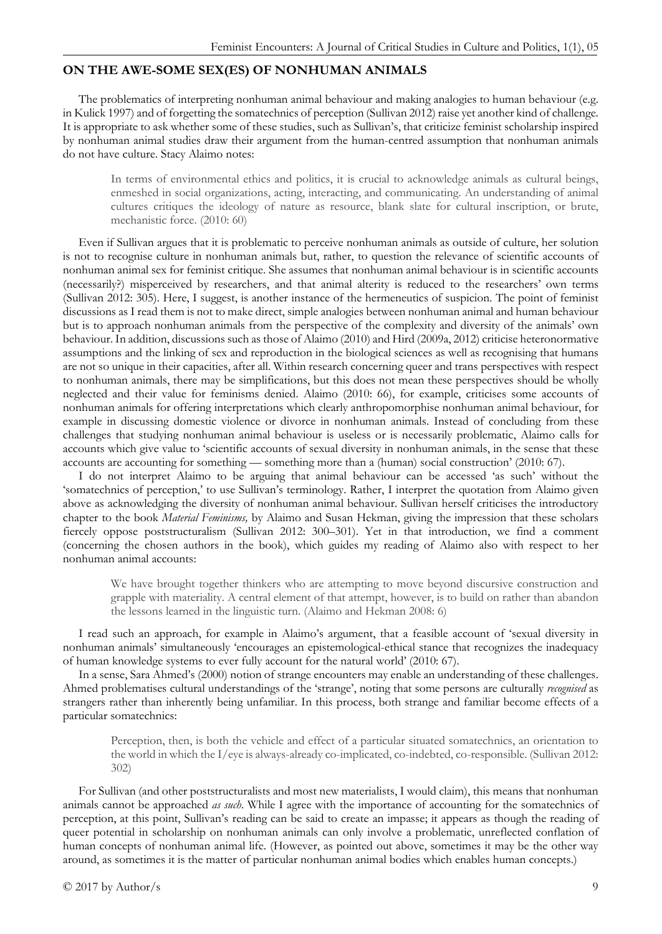### **ON THE AWE-SOME SEX(ES) OF NONHUMAN ANIMALS**

The problematics of interpreting nonhuman animal behaviour and making analogies to human behaviour (e.g. in Kulick 1997) and of forgetting the somatechnics of perception (Sullivan 2012) raise yet another kind of challenge. It is appropriate to ask whether some of these studies, such as Sullivan's, that criticize feminist scholarship inspired by nonhuman animal studies draw their argument from the human-centred assumption that nonhuman animals do not have culture. Stacy Alaimo notes:

In terms of environmental ethics and politics, it is crucial to acknowledge animals as cultural beings, enmeshed in social organizations, acting, interacting, and communicating. An understanding of animal cultures critiques the ideology of nature as resource, blank slate for cultural inscription, or brute, mechanistic force. (2010: 60)

Even if Sullivan argues that it is problematic to perceive nonhuman animals as outside of culture, her solution is not to recognise culture in nonhuman animals but, rather, to question the relevance of scientific accounts of nonhuman animal sex for feminist critique. She assumes that nonhuman animal behaviour is in scientific accounts (necessarily?) misperceived by researchers, and that animal alterity is reduced to the researchers' own terms (Sullivan 2012: 305). Here, I suggest, is another instance of the hermeneutics of suspicion. The point of feminist discussions as I read them is not to make direct, simple analogies between nonhuman animal and human behaviour but is to approach nonhuman animals from the perspective of the complexity and diversity of the animals' own behaviour. In addition, discussions such as those of Alaimo (2010) and Hird (2009a, 2012) criticise heteronormative assumptions and the linking of sex and reproduction in the biological sciences as well as recognising that humans are not so unique in their capacities, after all. Within research concerning queer and trans perspectives with respect to nonhuman animals, there may be simplifications, but this does not mean these perspectives should be wholly neglected and their value for feminisms denied. Alaimo (2010: 66), for example, criticises some accounts of nonhuman animals for offering interpretations which clearly anthropomorphise nonhuman animal behaviour, for example in discussing domestic violence or divorce in nonhuman animals. Instead of concluding from these challenges that studying nonhuman animal behaviour is useless or is necessarily problematic, Alaimo calls for accounts which give value to 'scientific accounts of sexual diversity in nonhuman animals, in the sense that these accounts are accounting for something — something more than a (human) social construction' (2010: 67).

I do not interpret Alaimo to be arguing that animal behaviour can be accessed 'as such' without the 'somatechnics of perception,' to use Sullivan's terminology. Rather, I interpret the quotation from Alaimo given above as acknowledging the diversity of nonhuman animal behaviour. Sullivan herself criticises the introductory chapter to the book *Material Feminisms,* by Alaimo and Susan Hekman, giving the impression that these scholars fiercely oppose poststructuralism (Sullivan 2012: 300–301). Yet in that introduction, we find a comment (concerning the chosen authors in the book), which guides my reading of Alaimo also with respect to her nonhuman animal accounts:

We have brought together thinkers who are attempting to move beyond discursive construction and grapple with materiality. A central element of that attempt, however, is to build on rather than abandon the lessons learned in the linguistic turn. (Alaimo and Hekman 2008: 6)

I read such an approach, for example in Alaimo's argument, that a feasible account of 'sexual diversity in nonhuman animals' simultaneously 'encourages an epistemological-ethical stance that recognizes the inadequacy of human knowledge systems to ever fully account for the natural world' (2010: 67).

In a sense, Sara Ahmed's (2000) notion of strange encounters may enable an understanding of these challenges. Ahmed problematises cultural understandings of the 'strange', noting that some persons are culturally *recognised* as strangers rather than inherently being unfamiliar. In this process, both strange and familiar become effects of a particular somatechnics:

Perception, then, is both the vehicle and effect of a particular situated somatechnics, an orientation to the world in which the I/eye is always-already co-implicated, co-indebted, co-responsible. (Sullivan 2012: 302)

For Sullivan (and other poststructuralists and most new materialists, I would claim), this means that nonhuman animals cannot be approached *as such*. While I agree with the importance of accounting for the somatechnics of perception, at this point, Sullivan's reading can be said to create an impasse; it appears as though the reading of queer potential in scholarship on nonhuman animals can only involve a problematic, unreflected conflation of human concepts of nonhuman animal life. (However, as pointed out above, sometimes it may be the other way around, as sometimes it is the matter of particular nonhuman animal bodies which enables human concepts.)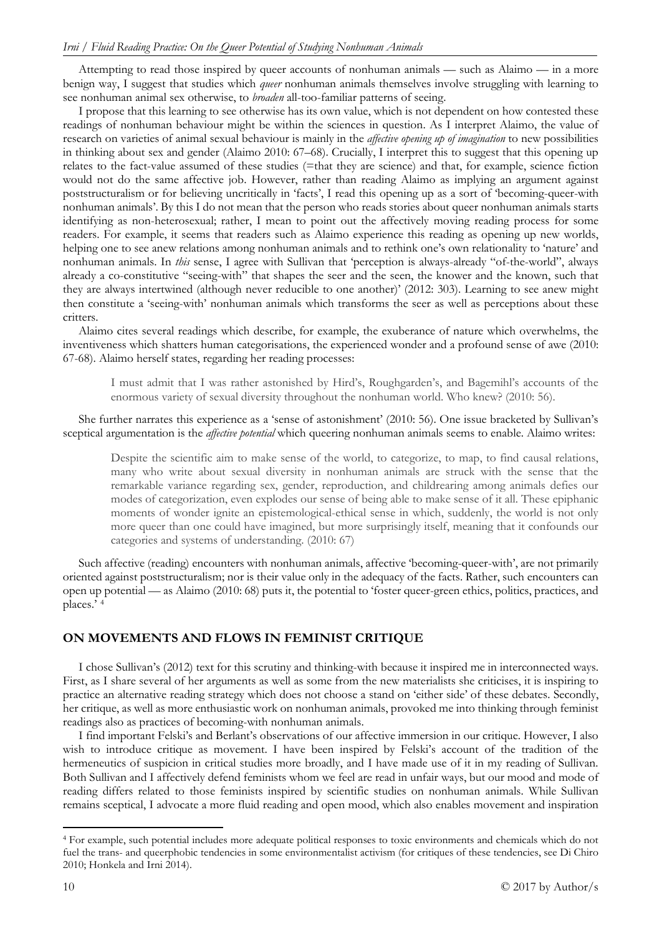Attempting to read those inspired by queer accounts of nonhuman animals — such as Alaimo — in a more benign way, I suggest that studies which *queer* nonhuman animals themselves involve struggling with learning to see nonhuman animal sex otherwise, to *broaden* all-too-familiar patterns of seeing.

I propose that this learning to see otherwise has its own value, which is not dependent on how contested these readings of nonhuman behaviour might be within the sciences in question. As I interpret Alaimo, the value of research on varieties of animal sexual behaviour is mainly in the *affective opening up of imagination* to new possibilities in thinking about sex and gender (Alaimo 2010: 67–68). Crucially, I interpret this to suggest that this opening up relates to the fact-value assumed of these studies (=that they are science) and that, for example, science fiction would not do the same affective job. However, rather than reading Alaimo as implying an argument against poststructuralism or for believing uncritically in 'facts', I read this opening up as a sort of 'becoming-queer-with nonhuman animals'. By this I do not mean that the person who reads stories about queer nonhuman animals starts identifying as non-heterosexual; rather, I mean to point out the affectively moving reading process for some readers. For example, it seems that readers such as Alaimo experience this reading as opening up new worlds, helping one to see anew relations among nonhuman animals and to rethink one's own relationality to 'nature' and nonhuman animals. In *this* sense, I agree with Sullivan that 'perception is always-already "of-the-world", always already a co-constitutive "seeing-with" that shapes the seer and the seen, the knower and the known, such that they are always intertwined (although never reducible to one another)' (2012: 303). Learning to see anew might then constitute a 'seeing-with' nonhuman animals which transforms the seer as well as perceptions about these critters.

Alaimo cites several readings which describe, for example, the exuberance of nature which overwhelms, the inventiveness which shatters human categorisations, the experienced wonder and a profound sense of awe (2010: 67-68). Alaimo herself states, regarding her reading processes:

I must admit that I was rather astonished by Hird's, Roughgarden's, and Bagemihl's accounts of the enormous variety of sexual diversity throughout the nonhuman world. Who knew? (2010: 56).

She further narrates this experience as a 'sense of astonishment' (2010: 56). One issue bracketed by Sullivan's sceptical argumentation is the *affective potential* which queering nonhuman animals seems to enable. Alaimo writes:

Despite the scientific aim to make sense of the world, to categorize, to map, to find causal relations, many who write about sexual diversity in nonhuman animals are struck with the sense that the remarkable variance regarding sex, gender, reproduction, and childrearing among animals defies our modes of categorization, even explodes our sense of being able to make sense of it all. These epiphanic moments of wonder ignite an epistemological-ethical sense in which, suddenly, the world is not only more queer than one could have imagined, but more surprisingly itself, meaning that it confounds our categories and systems of understanding. (2010: 67)

Such affective (reading) encounters with nonhuman animals, affective 'becoming-queer-with', are not primarily oriented against poststructuralism; nor is their value only in the adequacy of the facts. Rather, such encounters can open up potential — as Alaimo (2010: 68) puts it, the potential to 'foster queer-green ethics, politics, practices, and places.' [4](#page-9-0)

#### **ON MOVEMENTS AND FLOWS IN FEMINIST CRITIQUE**

I chose Sullivan's (2012) text for this scrutiny and thinking-with because it inspired me in interconnected ways. First, as I share several of her arguments as well as some from the new materialists she criticises, it is inspiring to practice an alternative reading strategy which does not choose a stand on 'either side' of these debates. Secondly, her critique, as well as more enthusiastic work on nonhuman animals, provoked me into thinking through feminist readings also as practices of becoming-with nonhuman animals.

I find important Felski's and Berlant's observations of our affective immersion in our critique. However, I also wish to introduce critique as movement. I have been inspired by Felski's account of the tradition of the hermeneutics of suspicion in critical studies more broadly, and I have made use of it in my reading of Sullivan. Both Sullivan and I affectively defend feminists whom we feel are read in unfair ways, but our mood and mode of reading differs related to those feminists inspired by scientific studies on nonhuman animals. While Sullivan remains sceptical, I advocate a more fluid reading and open mood, which also enables movement and inspiration

<span id="page-9-0"></span> <sup>4</sup> For example, such potential includes more adequate political responses to toxic environments and chemicals which do not fuel the trans- and queerphobic tendencies in some environmentalist activism (for critiques of these tendencies, see Di Chiro 2010; Honkela and Irni 2014).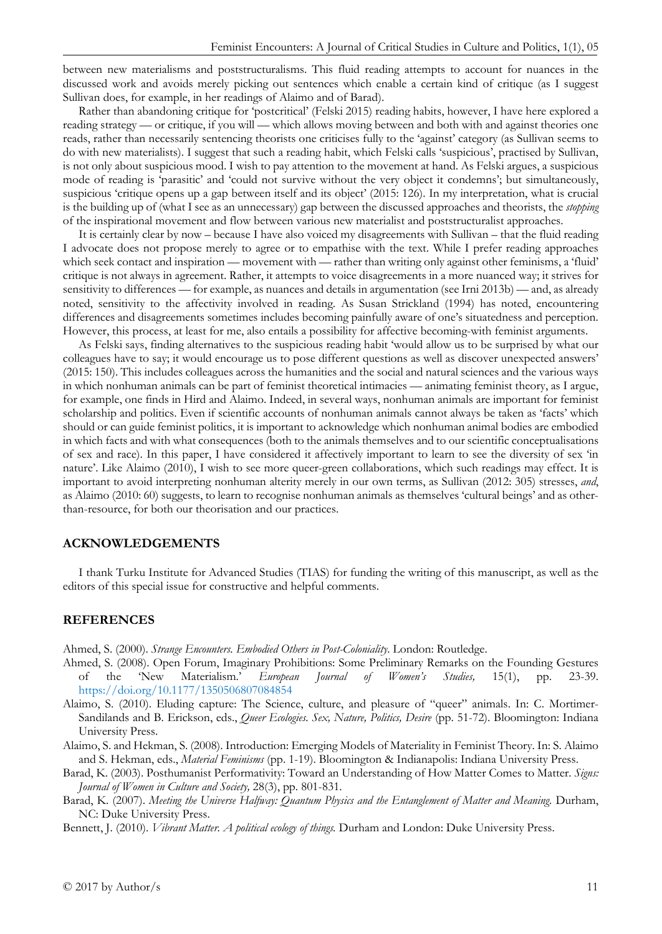between new materialisms and poststructuralisms. This fluid reading attempts to account for nuances in the discussed work and avoids merely picking out sentences which enable a certain kind of critique (as I suggest Sullivan does, for example, in her readings of Alaimo and of Barad).

Rather than abandoning critique for 'postcritical' (Felski 2015) reading habits, however, I have here explored a reading strategy — or critique, if you will — which allows moving between and both with and against theories one reads, rather than necessarily sentencing theorists one criticises fully to the 'against' category (as Sullivan seems to do with new materialists). I suggest that such a reading habit, which Felski calls 'suspicious', practised by Sullivan, is not only about suspicious mood. I wish to pay attention to the movement at hand. As Felski argues, a suspicious mode of reading is 'parasitic' and 'could not survive without the very object it condemns'; but simultaneously, suspicious 'critique opens up a gap between itself and its object' (2015: 126). In my interpretation, what is crucial is the building up of (what I see as an unnecessary) gap between the discussed approaches and theorists, the *stopping* of the inspirational movement and flow between various new materialist and poststructuralist approaches.

It is certainly clear by now – because I have also voiced my disagreements with Sullivan – that the fluid reading I advocate does not propose merely to agree or to empathise with the text. While I prefer reading approaches which seek contact and inspiration — movement with — rather than writing only against other feminisms, a 'fluid' critique is not always in agreement. Rather, it attempts to voice disagreements in a more nuanced way; it strives for sensitivity to differences — for example, as nuances and details in argumentation (see Irni 2013b) — and, as already noted, sensitivity to the affectivity involved in reading. As Susan Strickland (1994) has noted, encountering differences and disagreements sometimes includes becoming painfully aware of one's situatedness and perception. However, this process, at least for me, also entails a possibility for affective becoming-with feminist arguments.

As Felski says, finding alternatives to the suspicious reading habit 'would allow us to be surprised by what our colleagues have to say; it would encourage us to pose different questions as well as discover unexpected answers' (2015: 150). This includes colleagues across the humanities and the social and natural sciences and the various ways in which nonhuman animals can be part of feminist theoretical intimacies — animating feminist theory, as I argue, for example, one finds in Hird and Alaimo. Indeed, in several ways, nonhuman animals are important for feminist scholarship and politics. Even if scientific accounts of nonhuman animals cannot always be taken as 'facts' which should or can guide feminist politics, it is important to acknowledge which nonhuman animal bodies are embodied in which facts and with what consequences (both to the animals themselves and to our scientific conceptualisations of sex and race). In this paper, I have considered it affectively important to learn to see the diversity of sex 'in nature'. Like Alaimo (2010), I wish to see more queer-green collaborations, which such readings may effect. It is important to avoid interpreting nonhuman alterity merely in our own terms, as Sullivan (2012: 305) stresses, *and*, as Alaimo (2010: 60) suggests, to learn to recognise nonhuman animals as themselves 'cultural beings' and as otherthan-resource, for both our theorisation and our practices.

### **ACKNOWLEDGEMENTS**

I thank Turku Institute for Advanced Studies (TIAS) for funding the writing of this manuscript, as well as the editors of this special issue for constructive and helpful comments.

#### **REFERENCES**

Ahmed, S. (2000). *Strange Encounters. Embodied Others in Post-Coloniality*. London: Routledge.

- Ahmed, S. (2008). Open Forum, Imaginary Prohibitions: Some Preliminary Remarks on the Founding Gestures of the 'New Materialism.' *European Journal of Women's Studies,* 15(1), pp. 23-39. <https://doi.org/10.1177/1350506807084854>
- Alaimo, S. (2010). Eluding capture: The Science, culture, and pleasure of "queer" animals. In: C. Mortimer-Sandilands and B. Erickson, eds., *Queer Ecologies. Sex, Nature, Politics, Desire* (pp. 51-72). Bloomington: Indiana University Press.
- Alaimo, S. and Hekman, S. (2008). Introduction: Emerging Models of Materiality in Feminist Theory. In: S. Alaimo and S. Hekman, eds., *Material Feminisms* (pp. 1-19). Bloomington & Indianapolis: Indiana University Press.
- Barad, K. (2003). Posthumanist Performativity: Toward an Understanding of How Matter Comes to Matter. *Signs: Journal of Women in Culture and Society,* 28(3), pp. 801-831.
- Barad, K. (2007). *Meeting the Universe Halfway: Quantum Physics and the Entanglement of Matter and Meaning.* Durham, NC: Duke University Press.
- Bennett, J. (2010). *Vibrant Matter. A political ecology of things.* Durham and London: Duke University Press.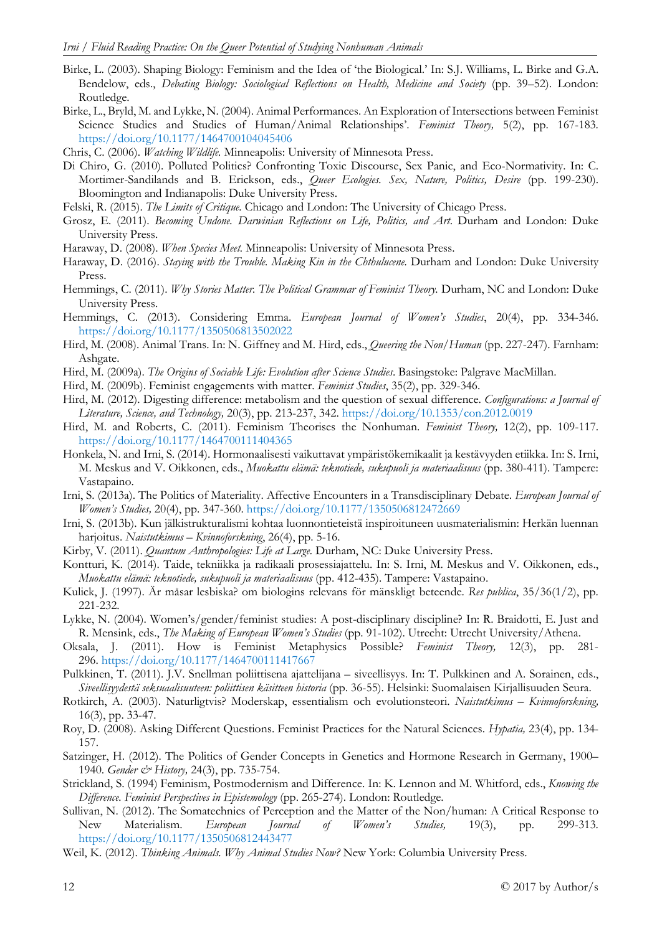- Birke, L. (2003). Shaping Biology: Feminism and the Idea of 'the Biological.' In: S.J. Williams, L. Birke and G.A. Bendelow, eds., *Debating Biology: Sociological Reflections on Health, Medicine and Society* (pp. 39–52). London: Routledge.
- Birke, L., Bryld, M. and Lykke, N. (2004). Animal Performances. An Exploration of Intersections between Feminist Science Studies and Studies of Human/Animal Relationships'. *Feminist Theory,* 5(2), pp. 167-183. <https://doi.org/10.1177/1464700104045406>
- Chris, C. (2006). *Watching Wildlife.* Minneapolis: University of Minnesota Press.
- Di Chiro, G. (2010). Polluted Politics? Confronting Toxic Discourse, Sex Panic, and Eco-Normativity. In: C. Mortimer-Sandilands and B. Erickson, eds., *Queer Ecologies. Sex, Nature, Politics, Desire* (pp. 199-230). Bloomington and Indianapolis: Duke University Press.
- Felski, R. (2015). *The Limits of Critique.* Chicago and London: The University of Chicago Press.
- Grosz, E. (2011). *Becoming Undone. Darwinian Reflections on Life, Politics, and Art*. Durham and London: Duke University Press.
- Haraway, D. (2008). *When Species Meet.* Minneapolis: University of Minnesota Press.
- Haraway, D. (2016). *Staying with the Trouble. Making Kin in the Chthulucene.* Durham and London: Duke University Press.
- Hemmings, C. (2011). *Why Stories Matter. The Political Grammar of Feminist Theory.* Durham, NC and London: Duke University Press.
- Hemmings, C. (2013). Considering Emma. *European Journal of Women's Studies*, 20(4), pp. 334-346. <https://doi.org/10.1177/1350506813502022>
- Hird, M. (2008). Animal Trans. In: N. Giffney and M. Hird, eds., *Queering the Non/Human* (pp. 227-247). Farnham: Ashgate.
- Hird, M. (2009a). *The Origins of Sociable Life: Evolution after Science Studies*. Basingstoke: Palgrave MacMillan.
- Hird, M. (2009b). Feminist engagements with matter. *Feminist Studies*, 35(2), pp. 329-346.
- Hird, M. (2012). Digesting difference: metabolism and the question of sexual difference. *Configurations: a Journal of Literature, Science, and Technology,* 20(3), pp. 213-237, 342.<https://doi.org/10.1353/con.2012.0019>
- Hird, M. and Roberts, C. (2011). Feminism Theorises the Nonhuman. *Feminist Theory,* 12(2), pp. 109-117. <https://doi.org/10.1177/1464700111404365>
- Honkela, N. and Irni, S. (2014). Hormonaalisesti vaikuttavat ympäristökemikaalit ja kestävyyden etiikka. In: S. Irni, M. Meskus and V. Oikkonen, eds., *Muokattu elämä: teknotiede, sukupuoli ja materiaalisuus* (pp. 380-411). Tampere: Vastapaino.
- Irni, S. (2013a). The Politics of Materiality. Affective Encounters in a Transdisciplinary Debate. *European Journal of Women's Studies,* 20(4), pp. 347-360.<https://doi.org/10.1177/1350506812472669>
- Irni, S. (2013b). Kun jälkistrukturalismi kohtaa luonnontieteistä inspiroituneen uusmaterialismin: Herkän luennan harjoitus. *Naistutkimus – Kvinnoforskning*, 26(4), pp. 5-16.
- Kirby, V. (2011). *Quantum Anthropologies: Life at Large.* Durham, NC: Duke University Press.
- Kontturi, K. (2014). Taide, tekniikka ja radikaali prosessiajattelu. In: S. Irni, M. Meskus and V. Oikkonen, eds., *Muokattu elämä: teknotiede, sukupuoli ja materiaalisuus* (pp. 412-435). Tampere: Vastapaino.
- Kulick, J. (1997). Är måsar lesbiska? om biologins relevans för mänskligt beteende. *Res publica*, 35/36(1/2), pp. 221-232.
- Lykke, N. (2004). Women's/gender/feminist studies: A post-disciplinary discipline? In: R. Braidotti, E. Just and R. Mensink, eds., *The Making of European Women's Studies* (pp. 91-102). Utrecht: Utrecht University/Athena.
- Oksala, J. (2011). How is Feminist Metaphysics Possible? *Feminist Theory,* 12(3), pp. 281- 296. <https://doi.org/10.1177/1464700111417667>
- Pulkkinen, T. (2011). J.V. Snellman poliittisena ajattelijana siveellisyys. In: T. Pulkkinen and A. Sorainen, eds., *Siveellisyydestä seksuaalisuuteen: poliittisen käsitteen historia* (pp. 36-55). Helsinki: Suomalaisen Kirjallisuuden Seura.
- Rotkirch, A. (2003). Naturligtvis? Moderskap, essentialism och evolutionsteori. *Naistutkimus – Kvinnoforskning,* 16(3), pp. 33-47.
- Roy, D. (2008). Asking Different Questions. Feminist Practices for the Natural Sciences. *Hypatia,* 23(4), pp. 134- 157.
- Satzinger, H. (2012). The Politics of Gender Concepts in Genetics and Hormone Research in Germany, 1900– 1940. *Gender & History,* 24(3), pp. 735-754.
- Strickland, S. (1994) Feminism, Postmodernism and Difference. In: K. Lennon and M. Whitford, eds., *Knowing the Difference. Feminist Perspectives in Epistemology* (pp. 265-274). London: Routledge.
- Sullivan, N. (2012). The Somatechnics of Perception and the Matter of the Non/human: A Critical Response to New Materialism. *European Journal of Women's Studies,* 19(3), pp. 299-313. <https://doi.org/10.1177/1350506812443477>
- Weil, K. (2012). *Thinking Animals. Why Animal Studies Now?* New York: Columbia University Press.